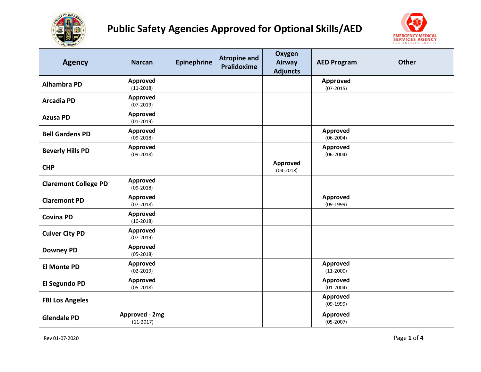



| <b>Agency</b>               | <b>Narcan</b>                  | <b>Epinephrine</b> | <b>Atropine and</b><br>Pralidoxime | Oxygen<br>Airway<br><b>Adjuncts</b> | <b>AED Program</b>             | <b>Other</b> |
|-----------------------------|--------------------------------|--------------------|------------------------------------|-------------------------------------|--------------------------------|--------------|
| <b>Alhambra PD</b>          | Approved<br>$(11-2018)$        |                    |                                    |                                     | <b>Approved</b><br>$(07-2015)$ |              |
| <b>Arcadia PD</b>           | Approved<br>$(07-2019)$        |                    |                                    |                                     |                                |              |
| <b>Azusa PD</b>             | Approved<br>$(01-2019)$        |                    |                                    |                                     |                                |              |
| <b>Bell Gardens PD</b>      | Approved<br>$(09 - 2018)$      |                    |                                    |                                     | Approved<br>$(06-2004)$        |              |
| <b>Beverly Hills PD</b>     | Approved<br>$(09-2018)$        |                    |                                    |                                     | Approved<br>$(06-2004)$        |              |
| <b>CHP</b>                  |                                |                    |                                    | <b>Approved</b><br>$(04 - 2018)$    |                                |              |
| <b>Claremont College PD</b> | Approved<br>$(09-2018)$        |                    |                                    |                                     |                                |              |
| <b>Claremont PD</b>         | Approved<br>$(07 - 2018)$      |                    |                                    |                                     | Approved<br>$(09-1999)$        |              |
| <b>Covina PD</b>            | Approved<br>$(10-2018)$        |                    |                                    |                                     |                                |              |
| <b>Culver City PD</b>       | <b>Approved</b><br>$(07-2019)$ |                    |                                    |                                     |                                |              |
| <b>Downey PD</b>            | Approved<br>$(05-2018)$        |                    |                                    |                                     |                                |              |
| <b>El Monte PD</b>          | Approved<br>$(02 - 2019)$      |                    |                                    |                                     | Approved<br>$(11-2000)$        |              |
| El Segundo PD               | Approved<br>$(05 - 2018)$      |                    |                                    |                                     | Approved<br>$(01-2004)$        |              |
| <b>FBI Los Angeles</b>      |                                |                    |                                    |                                     | Approved<br>$(09-1999)$        |              |
| <b>Glendale PD</b>          | Approved - 2mg<br>$(11-2017)$  |                    |                                    |                                     | Approved<br>$(05-2007)$        |              |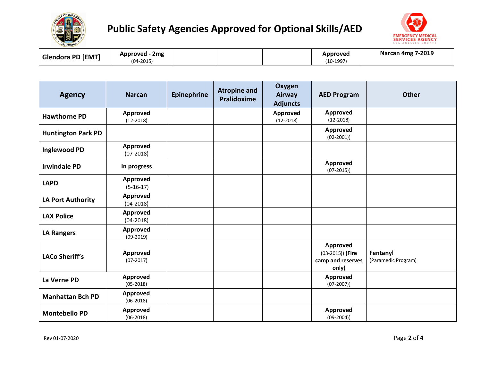



| <b>Glendora PD [EMT]</b> | Approved<br>2 <sub>mg</sub><br>$(04-2015)$ |  | Approved<br>$(10-1997)$ | <b>g 7-2019</b><br>Narcan 4mg 7 |
|--------------------------|--------------------------------------------|--|-------------------------|---------------------------------|
|                          |                                            |  |                         |                                 |

| <b>Agency</b>             | <b>Narcan</b>             | <b>Epinephrine</b> | <b>Atropine and</b><br><b>Pralidoxime</b> | Oxygen<br>Airway<br><b>Adjuncts</b> | <b>AED Program</b>                                           | <b>Other</b>                    |
|---------------------------|---------------------------|--------------------|-------------------------------------------|-------------------------------------|--------------------------------------------------------------|---------------------------------|
| <b>Hawthorne PD</b>       | Approved<br>$(12-2018)$   |                    |                                           | Approved<br>$(12-2018)$             | Approved<br>$(12-2018)$                                      |                                 |
| <b>Huntington Park PD</b> |                           |                    |                                           |                                     | Approved<br>$(02 - 2001)$                                    |                                 |
| <b>Inglewood PD</b>       | Approved<br>$(07-2018)$   |                    |                                           |                                     |                                                              |                                 |
| <b>Irwindale PD</b>       | In progress               |                    |                                           |                                     | Approved<br>$(07-2015)$                                      |                                 |
| <b>LAPD</b>               | Approved<br>$(5-16-17)$   |                    |                                           |                                     |                                                              |                                 |
| <b>LA Port Authority</b>  | Approved<br>$(04 - 2018)$ |                    |                                           |                                     |                                                              |                                 |
| <b>LAX Police</b>         | Approved<br>$(04 - 2018)$ |                    |                                           |                                     |                                                              |                                 |
| <b>LA Rangers</b>         | Approved<br>$(09-2019)$   |                    |                                           |                                     |                                                              |                                 |
| <b>LACo Sheriff's</b>     | Approved<br>$(07-2017)$   |                    |                                           |                                     | Approved<br>$(03-2015))$ (Fire<br>camp and reserves<br>only) | Fentanyl<br>(Paramedic Program) |
| La Verne PD               | Approved<br>$(05-2018)$   |                    |                                           |                                     | Approved<br>$(07-2007)$                                      |                                 |
| <b>Manhattan Bch PD</b>   | Approved<br>$(06-2018)$   |                    |                                           |                                     |                                                              |                                 |
| <b>Montebello PD</b>      | Approved<br>$(06-2018)$   |                    |                                           |                                     | Approved<br>$(09-2004)$                                      |                                 |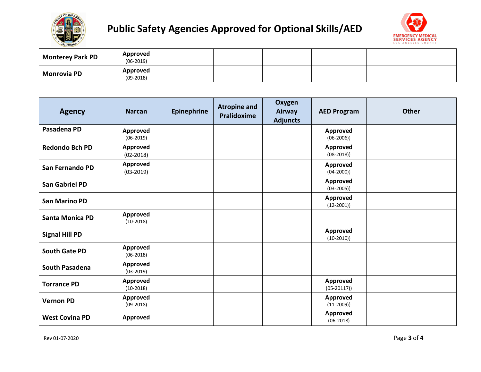



| <b>Monterey Park PD</b> | Approved<br>$(06-2019)$        |  |  |  |
|-------------------------|--------------------------------|--|--|--|
| <b>Monrovia PD</b>      | <b>Approved</b><br>$(09-2018)$ |  |  |  |

| <b>Agency</b>          | <b>Narcan</b>                  | <b>Epinephrine</b> | <b>Atropine and</b><br>Pralidoxime | Oxygen<br>Airway<br><b>Adjuncts</b> | <b>AED Program</b>               | <b>Other</b> |
|------------------------|--------------------------------|--------------------|------------------------------------|-------------------------------------|----------------------------------|--------------|
| Pasadena PD            | <b>Approved</b><br>$(06-2019)$ |                    |                                    |                                     | Approved<br>$(06-2006)$          |              |
| <b>Redondo Bch PD</b>  | Approved<br>$(02 - 2018)$      |                    |                                    |                                     | <b>Approved</b><br>$(08-2018)$   |              |
| San Fernando PD        | Approved<br>$(03-2019)$        |                    |                                    |                                     | <b>Approved</b><br>$(04 - 2000)$ |              |
| <b>San Gabriel PD</b>  |                                |                    |                                    |                                     | Approved<br>$(03 - 2005)$        |              |
| <b>San Marino PD</b>   |                                |                    |                                    |                                     | Approved<br>$(12-2001)$          |              |
| <b>Santa Monica PD</b> | Approved<br>$(10-2018)$        |                    |                                    |                                     |                                  |              |
| <b>Signal Hill PD</b>  |                                |                    |                                    |                                     | Approved<br>$(10-2010)$          |              |
| <b>South Gate PD</b>   | <b>Approved</b><br>$(06-2018)$ |                    |                                    |                                     |                                  |              |
| <b>South Pasadena</b>  | Approved<br>$(03-2019)$        |                    |                                    |                                     |                                  |              |
| <b>Torrance PD</b>     | Approved<br>$(10-2018)$        |                    |                                    |                                     | Approved<br>$(05-20117))$        |              |
| <b>Vernon PD</b>       | Approved<br>$(09-2018)$        |                    |                                    |                                     | Approved<br>$(11-2009)$          |              |
| <b>West Covina PD</b>  | Approved                       |                    |                                    |                                     | <b>Approved</b><br>$(06-2018)$   |              |